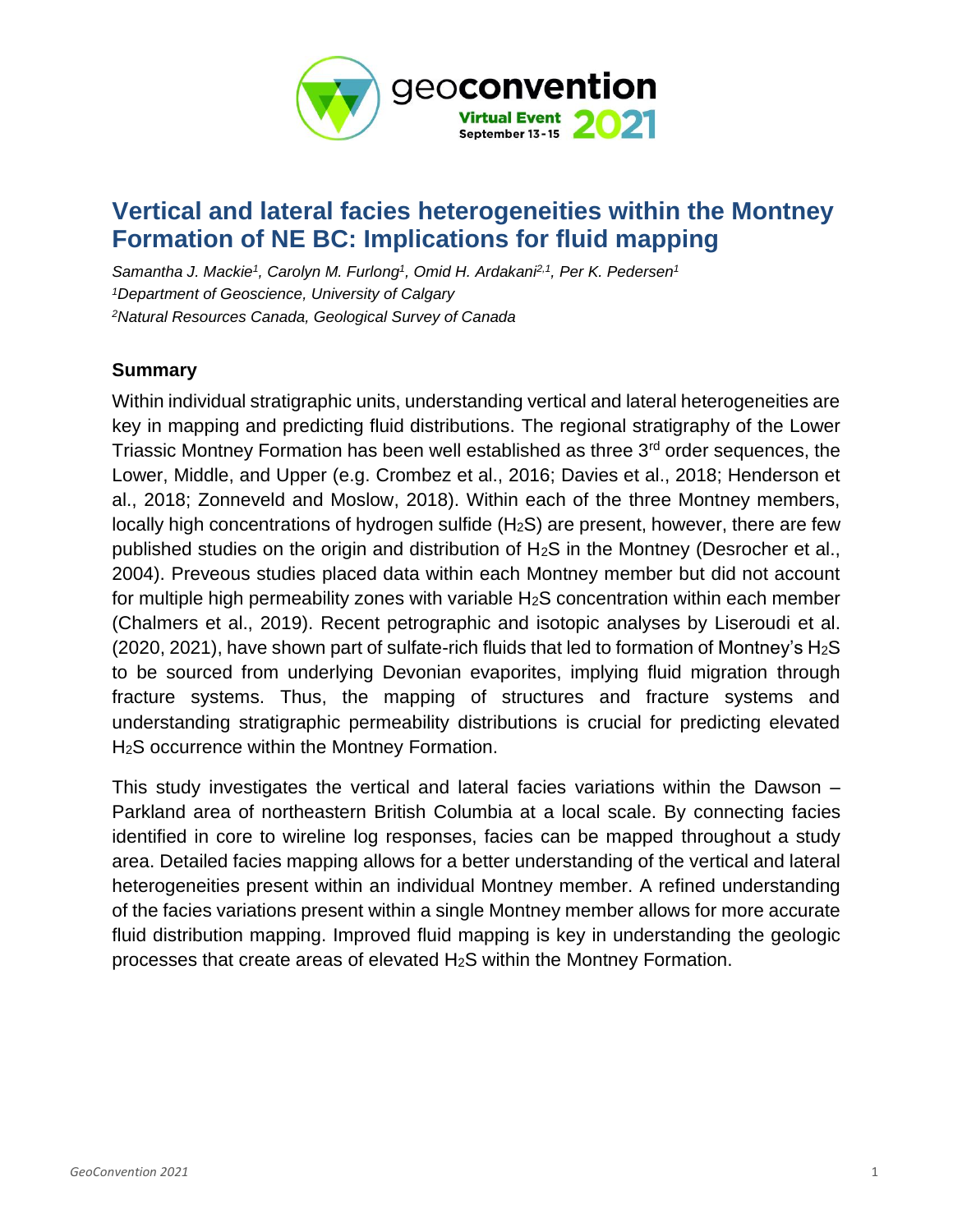

## **Vertical and lateral facies heterogeneities within the Montney Formation of NE BC: Implications for fluid mapping**

*Samantha J. Mackie<sup>1</sup> , Carolyn M. Furlong<sup>1</sup> , Omid H. Ardakani2,1, Per K. Pedersen<sup>1</sup> <sup>1</sup>Department of Geoscience, University of Calgary <sup>2</sup>Natural Resources Canada, Geological Survey of Canada*

## **Summary**

Within individual stratigraphic units, understanding vertical and lateral heterogeneities are key in mapping and predicting fluid distributions. The regional stratigraphy of the Lower Triassic Montney Formation has been well established as three 3<sup>rd</sup> order sequences, the Lower, Middle, and Upper (e.g. Crombez et al., 2016; Davies et al., 2018; Henderson et al., 2018; Zonneveld and Moslow, 2018). Within each of the three Montney members, locally high concentrations of hydrogen sulfide (H<sub>2</sub>S) are present, however, there are few published studies on the origin and distribution of H2S in the Montney (Desrocher et al., 2004). Preveous studies placed data within each Montney member but did not account for multiple high permeability zones with variable  $H_2S$  concentration within each member (Chalmers et al., 2019). Recent petrographic and isotopic analyses by Liseroudi et al. (2020, 2021), have shown part of sulfate-rich fluids that led to formation of Montney's  $H_2S$ to be sourced from underlying Devonian evaporites, implying fluid migration through fracture systems. Thus, the mapping of structures and fracture systems and understanding stratigraphic permeability distributions is crucial for predicting elevated H<sub>2</sub>S occurrence within the Montney Formation.

This study investigates the vertical and lateral facies variations within the Dawson – Parkland area of northeastern British Columbia at a local scale. By connecting facies identified in core to wireline log responses, facies can be mapped throughout a study area. Detailed facies mapping allows for a better understanding of the vertical and lateral heterogeneities present within an individual Montney member. A refined understanding of the facies variations present within a single Montney member allows for more accurate fluid distribution mapping. Improved fluid mapping is key in understanding the geologic processes that create areas of elevated H2S within the Montney Formation.